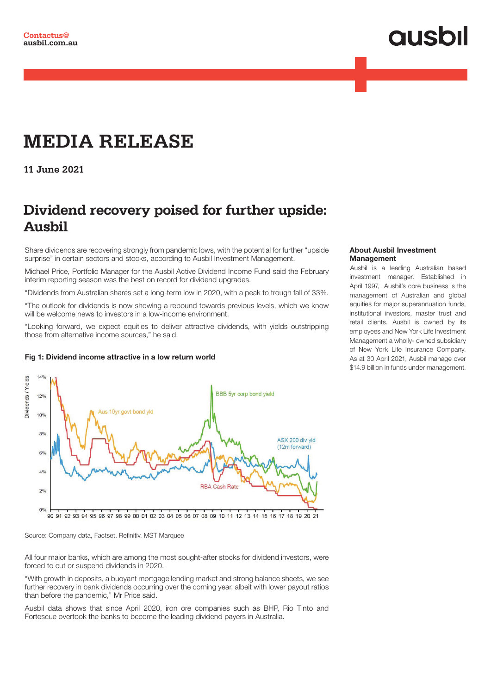# **QUSOI**

## **MEDIA RELEASE**

**11 June 2021**

### **Dividend recovery poised for further upside: Ausbil**

Share dividends are recovering strongly from pandemic lows, with the potential for further "upside surprise" in certain sectors and stocks, according to Ausbil Investment Management.

Michael Price, Portfolio Manager for the Ausbil Active Dividend Income Fund said the February interim reporting season was the best on record for dividend upgrades.

"Dividends from Australian shares set a long-term low in 2020, with a peak to trough fall of 33%.

"The outlook for dividends is now showing a rebound towards previous levels, which we know will be welcome news to investors in a low-income environment.

"Looking forward, we expect equities to deliver attractive dividends, with yields outstripping those from alternative income sources," he said.

#### Fig 1: Dividend income attractive in a low return world



90 91 92 93 94 95 96 97 98 99 00 01 02 03 04 05 06 07 08 09 10 11 12 13 14 15 16 17 18 19 20 21

Source: Company data, Factset, Refinitiv, MST Marquee

All four major banks, which are among the most sought-after stocks for dividend investors, were forced to cut or suspend dividends in 2020.

"With growth in deposits, a buoyant mortgage lending market and strong balance sheets, we see further recovery in bank dividends occurring over the coming year, albeit with lower payout ratios than before the pandemic," Mr Price said.

Ausbil data shows that since April 2020, iron ore companies such as BHP, Rio Tinto and Fortescue overtook the banks to become the leading dividend payers in Australia.

#### About Ausbil Investment **Management**

Ausbil is a leading Australian based investment manager. Established in April 1997, Ausbil's core business is the management of Australian and global equities for major superannuation funds, institutional investors, master trust and retail clients. Ausbil is owned by its employees and New York Life Investment Management a wholly- owned subsidiary of New York Life Insurance Company. As at 30 April 2021, Ausbil manage over \$14.9 billion in funds under management.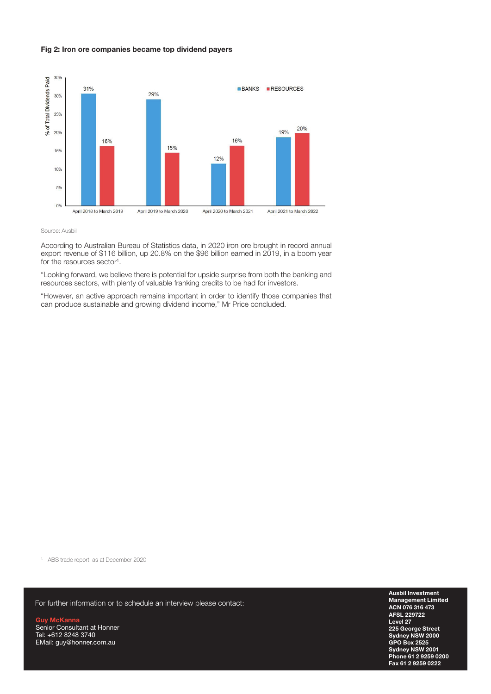#### Fig 2: Iron ore companies became top dividend payers



#### Source: Ausbil

According to Australian Bureau of Statistics data, in 2020 iron ore brought in record annual export revenue of \$116 billion, up 20.8% on the \$96 billion earned in 2019, in a boom year for the resources sector<sup>1</sup>.

"Looking forward, we believe there is potential for upside surprise from both the banking and resources sectors, with plenty of valuable franking credits to be had for investors.

"However, an active approach remains important in order to identify those companies that can produce sustainable and growing dividend income," Mr Price concluded.

1. ABS trade report, as at December 2020

For further information or to schedule an interview please contact:

Guy McKanna Senior Consultant at Honner Tel: +612 8248 3740 EMail: guy@honner.com.au

Ausbil Investment Management Limited ACN 076 316 473 AFSL 229722 Level 27 225 George Street Sydney NSW 2000 GPO Box 2525 Sydney NSW 2001 Phone 61 2 9259 0200 Fax 61 2 9259 0222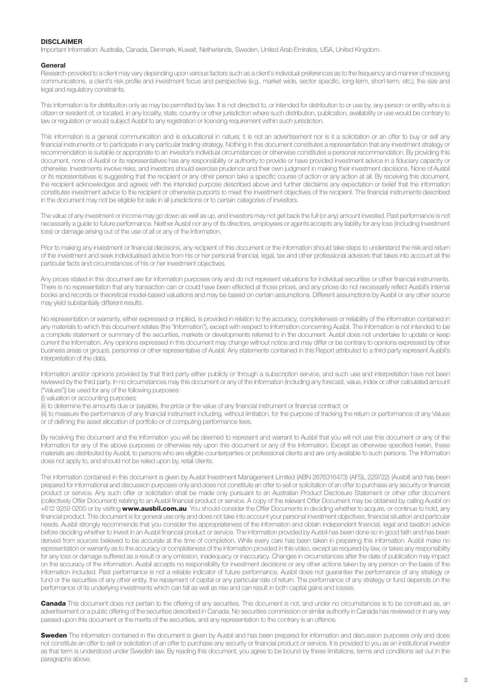#### DISCLAIMER

Important Information: Australia, Canada, Denmark, Kuwait, Netherlands, Sweden, United Arab Emirates, USA, United Kingdom.

#### General

Research provided to a client may vary depending upon various factors such as a client's individual preferences as to the frequency and manner of receiving communications, a client's risk profile and investment focus and perspective (e.g., market wide, sector specific, long-term, short-term, etc.), the size and legal and regulatory constraints.

This information is for distribution only as may be permitted by law. It is not directed to, or intended for distribution to or use by, any person or entity who is a citizen or resident of, or located, in any locality, state, country or other jurisdiction where such distribution, publication, availability or use would be contrary to law or regulation or would subject Ausbil to any registration or licensing requirement within such jurisdiction.

This information is a general communication and is educational in nature; it is not an advertisement nor is it a solicitation or an offer to buy or sell any financial instruments or to participate in any particular trading strategy. Nothing in this document constitutes a representation that any investment strategy or recommendation is suitable or appropriate to an investor's individual circumstances or otherwise constitutes a personal recommendation. By providing this document, none of Ausbil or its representatives has any responsibility or authority to provide or have provided investment advice in a fiduciary capacity or otherwise. Investments involve risks, and investors should exercise prudence and their own judgment in making their investment decisions. None of Ausbil or its representatives is suggesting that the recipient or any other person take a specific course of action or any action at all. By receiving this document, the recipient acknowledges and agrees with the intended purpose described above and further disclaims any expectation or belief that the information constitutes investment advice to the recipient or otherwise purports to meet the investment objectives of the recipient. The financial instruments described in the document may not be eligible for sale in all jurisdictions or to certain categories of investors.

The value of any investment or income may go down as well as up, and investors may not get back the full (or any) amount invested. Past performance is not necessarily a guide to future performance. Neither Ausbil nor any of its directors, employees or agents accepts any liability for any loss (including investment loss) or damage arising out of the use of all or any of the Information.

Prior to making any investment or financial decisions, any recipient of this document or the information should take steps to understand the risk and return of the investment and seek individualised advice from his or her personal financial, legal, tax and other professional advisors that takes into account all the particular facts and circumstances of his or her investment objectives.

Any prices stated in this document are for information purposes only and do not represent valuations for individual securities or other financial instruments. There is no representation that any transaction can or could have been effected at those prices, and any prices do not necessarily reflect Ausbil's internal books and records or theoretical model-based valuations and may be based on certain assumptions. Different assumptions by Ausbil or any other source may yield substantially different results.

No representation or warranty, either expressed or implied, is provided in relation to the accuracy, completeness or reliability of the information contained in any materials to which this document relates (the "Information"), except with respect to Information concerning Ausbil. The Information is not intended to be a complete statement or summary of the securities, markets or developments referred to in the document. Ausbil does not undertake to update or keep current the Information. Any opinions expressed in this document may change without notice and may differ or be contrary to opinions expressed by other business areas or groups, personnel or other representative of Ausbil. Any statements contained in this Report attributed to a third party represent Ausbil's interpretation of the data,

Information and/or opinions provided by that third party either publicly or through a subscription service, and such use and interpretation have not been reviewed by the third party. In no circumstances may this document or any of the Information (including any forecast, value, index or other calculated amount ("Values")) be used for any of the following purposes:

(i) valuation or accounting purposes;

(ii) to determine the amounts due or payable, the price or the value of any financial instrument or financial contract; or

(iii) to measure the performance of any financial instrument including, without limitation, for the purpose of tracking the return or performance of any Values or of defining the asset allocation of portfolio or of computing performance fees.

By receiving this document and the Information you will be deemed to represent and warrant to Ausbil that you will not use this document or any of the Information for any of the above purposes or otherwise rely upon this document or any of the Information. Except as otherwise specified herein, these materials are distributed by Ausbil, to persons who are eligible counterparties or professional clients and are only available to such persons. The Information does not apply to, and should not be relied upon by, retail clients.

The information contained in this document is given by Ausbil Investment Management Limited (ABN 2676316473) (AFSL 229722) (Ausbil) and has been prepared for informational and discussion purposes only and does not constitute an offer to sell or solicitation of an offer to purchase any security or financial product or service. Any such offer or solicitation shall be made only pursuant to an Australian Product Disclosure Statement or other offer document (collectively Offer Document) relating to an Ausbil financial product or service. A copy of the relevant Offer Document may be obtained by calling Ausbil on +612 9259 0200 or by visiting www.ausbil.com.au. You should consider the Offer Documents in deciding whether to acquire, or continue to hold, any financial product. This document is for general use only and does not take into account your personal investment objectives, financial situation and particular needs. Ausbil strongly recommends that you consider the appropriateness of the information and obtain independent financial, legal and taxation advice before deciding whether to invest in an Ausbil financial product or service. The information provided by Ausbil has been done so in good faith and has been derived from sources believed to be accurate at the time of completion. While every care has been taken in preparing this information. Ausbil make no representation or warranty as to the accuracy or completeness of the information provided in this video, except as required by law, or takes any responsibility for any loss or damage suffered as a result or any omission, inadequacy or inaccuracy. Changes in circumstances after the date of publication may impact on the accuracy of the information. Ausbil accepts no responsibility for investment decisions or any other actions taken by any person on the basis of the information included. Past performance is not a reliable indicator of future performance. Ausbil does not guarantee the performance of any strategy or fund or the securities of any other entity, the repayment of capital or any particular rate of return. The performance of any strategy or fund depends on the performance of its underlying investments which can fall as well as rise and can result in both capital gains and losses.

Canada This document does not pertain to the offering of any securities. This document is not, and under no circumstances is to be construed as, an advertisement or a public offering of the securities described in Canada. No securities commission or similar authority in Canada has reviewed or in any way passed upon this document or the merits of the securities, and any representation to the contrary is an offence.

Sweden The information contained in the document is given by Ausbil and has been prepared for information and discussion purposes only and does not constitute an offer to sell or solicitation of an offer to purchase any security or financial product or service. It is provided to you as an institutional investor as that term is understood under Swedish law. By reading this document, you agree to be bound by these limitations, terms and conditions set out in the paragraphs above.